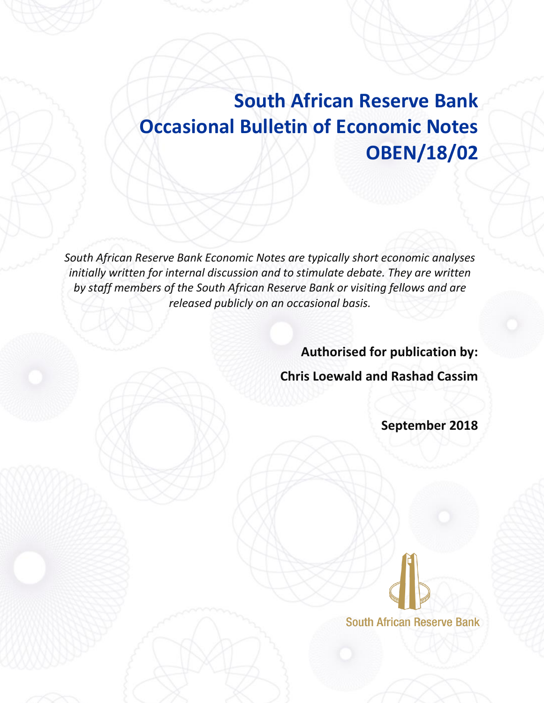# **South African Reserve Bank Occasional Bulletin of Economic Notes OBEN/18/02**

*South African Reserve Bank Economic Notes are typically short economic analyses*  initially written for internal discussion and to stimulate debate. They are written *by staff members of the South African Reserve Bank or visiting fellows and are released publicly on an occasional basis.*

**Authorised for publication by:**

**Chris Loewald and Rashad Cassim**

**September 2018** 

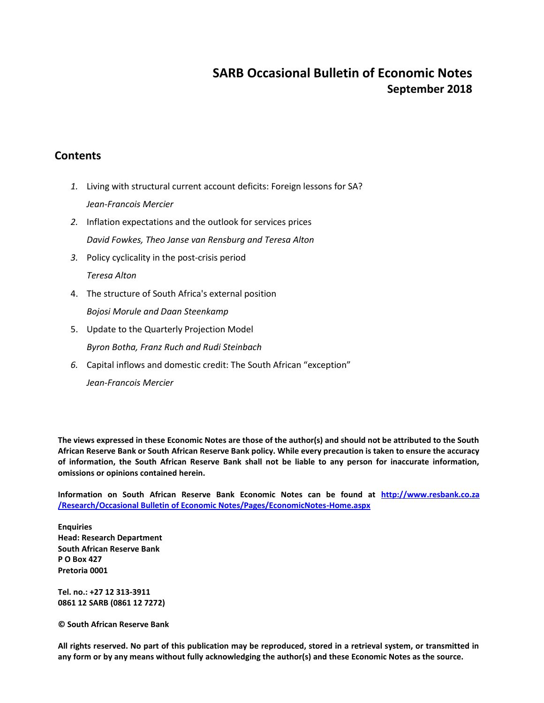### **SARB Occasional Bulletin of Economic Notes September 2018**

### **Contents**

- *1.* Living with structural current account deficits: Foreign lessons for SA? *Jean-Francois Mercier*
- *2.* Inflation expectations and the outlook for services prices *David Fowkes, Theo Janse van Rensburg and Teresa Alton*
- *3.* Policy cyclicality in the post-crisis period *Teresa Alton*
- 4. The structure of South Africa's external position *Bojosi Morule and Daan Steenkamp*
- 5. Update to the Quarterly Projection Model *Byron Botha, Franz Ruch and Rudi Steinbach*
- *6.* Capital inflows and domestic credit: The South African "exception"

*Jean-Francois Mercier*

**The views expressed in these Economic Notes are those of the author(s) and should not be attributed to the South African Reserve Bank or South African Reserve Bank policy. While every precaution is taken to ensure the accuracy of information, the South African Reserve Bank shall not be liable to any person for inaccurate information, omissions or opinions contained herein.**

**Information on South African Reserve Bank Economic Notes can be found at http://www.resbank.co.za /Research/Occasional Bulletin of Economic Notes/Pages/EconomicNotes-Home.aspx**

**Enquiries Head: Research Department South African Reserve Bank P O Box 427 Pretoria 0001**

**Tel. no.: +27 12 313-3911 0861 12 SARB (0861 12 7272)**

**© South African Reserve Bank**

**All rights reserved. No part of this publication may be reproduced, stored in a retrieval system, or transmitted in any form or by any means without fully acknowledging the author(s) and these Economic Notes as the source.**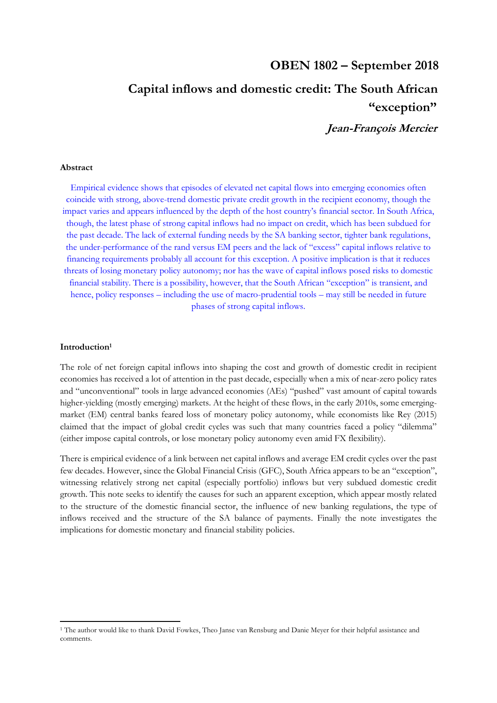## **OBEN 1802 – September 2018 Capital inflows and domestic credit: The South African "exception"**

**Jean-François Mercier** 

#### **Abstract**

Empirical evidence shows that episodes of elevated net capital flows into emerging economies often coincide with strong, above-trend domestic private credit growth in the recipient economy, though the impact varies and appears influenced by the depth of the host country's financial sector. In South Africa, though, the latest phase of strong capital inflows had no impact on credit, which has been subdued for the past decade. The lack of external funding needs by the SA banking sector, tighter bank regulations, the under-performance of the rand versus EM peers and the lack of "excess" capital inflows relative to financing requirements probably all account for this exception. A positive implication is that it reduces threats of losing monetary policy autonomy; nor has the wave of capital inflows posed risks to domestic financial stability. There is a possibility, however, that the South African "exception" is transient, and hence, policy responses – including the use of macro-prudential tools – may still be needed in future phases of strong capital inflows.

#### **Introduction<sup>1</sup>**

The role of net foreign capital inflows into shaping the cost and growth of domestic credit in recipient economies has received a lot of attention in the past decade, especially when a mix of near-zero policy rates and "unconventional" tools in large advanced economies (AEs) "pushed" vast amount of capital towards higher-yielding (mostly emerging) markets. At the height of these flows, in the early 2010s, some emergingmarket (EM) central banks feared loss of monetary policy autonomy, while economists like Rey (2015) claimed that the impact of global credit cycles was such that many countries faced a policy "dilemma" (either impose capital controls, or lose monetary policy autonomy even amid FX flexibility).

There is empirical evidence of a link between net capital inflows and average EM credit cycles over the past few decades. However, since the Global Financial Crisis (GFC), South Africa appears to be an "exception", witnessing relatively strong net capital (especially portfolio) inflows but very subdued domestic credit growth. This note seeks to identify the causes for such an apparent exception, which appear mostly related to the structure of the domestic financial sector, the influence of new banking regulations, the type of inflows received and the structure of the SA balance of payments. Finally the note investigates the implications for domestic monetary and financial stability policies.

<sup>1</sup> The author would like to thank David Fowkes, Theo Janse van Rensburg and Danie Meyer for their helpful assistance and comments.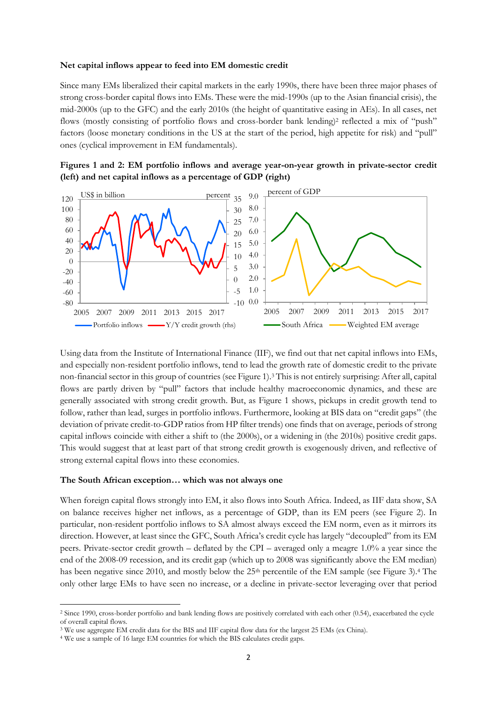#### **Net capital inflows appear to feed into EM domestic credit**

Since many EMs liberalized their capital markets in the early 1990s, there have been three major phases of strong cross-border capital flows into EMs. These were the mid-1990s (up to the Asian financial crisis), the mid-2000s (up to the GFC) and the early 2010s (the height of quantitative easing in AEs). In all cases, net flows (mostly consisting of portfolio flows and cross-border bank lending)<sup>2</sup> reflected a mix of "push" factors (loose monetary conditions in the US at the start of the period, high appetite for risk) and "pull" ones (cyclical improvement in EM fundamentals).





Using data from the Institute of International Finance (IIF), we find out that net capital inflows into EMs, and especially non-resident portfolio inflows, tend to lead the growth rate of domestic credit to the private non-financial sector in this group of countries (see Figure 1).<sup>3</sup> This is not entirely surprising: After all, capital flows are partly driven by "pull" factors that include healthy macroeconomic dynamics, and these are generally associated with strong credit growth. But, as Figure 1 shows, pickups in credit growth tend to follow, rather than lead, surges in portfolio inflows. Furthermore, looking at BIS data on "credit gaps" (the deviation of private credit-to-GDP ratios from HP filter trends) one finds that on average, periods of strong capital inflows coincide with either a shift to (the 2000s), or a widening in (the 2010s) positive credit gaps. This would suggest that at least part of that strong credit growth is exogenously driven, and reflective of strong external capital flows into these economies.

#### **The South African exception… which was not always one**

When foreign capital flows strongly into EM, it also flows into South Africa. Indeed, as IIF data show, SA on balance receives higher net inflows, as a percentage of GDP, than its EM peers (see Figure 2). In particular, non-resident portfolio inflows to SA almost always exceed the EM norm, even as it mirrors its direction. However, at least since the GFC, South Africa's credit cycle has largely "decoupled" from its EM peers. Private-sector credit growth – deflated by the CPI – averaged only a meagre 1.0% a year since the end of the 2008-09 recession, and its credit gap (which up to 2008 was significantly above the EM median) has been negative since 2010, and mostly below the 25<sup>th</sup> percentile of the EM sample (see Figure 3).<sup>4</sup> The only other large EMs to have seen no increase, or a decline in private-sector leveraging over that period

1

<sup>2</sup> Since 1990, cross-border portfolio and bank lending flows are positively correlated with each other (0.54), exacerbated the cycle of overall capital flows.

<sup>3</sup> We use aggregate EM credit data for the BIS and IIF capital flow data for the largest 25 EMs (ex China).

<sup>4</sup> We use a sample of 16 large EM countries for which the BIS calculates credit gaps.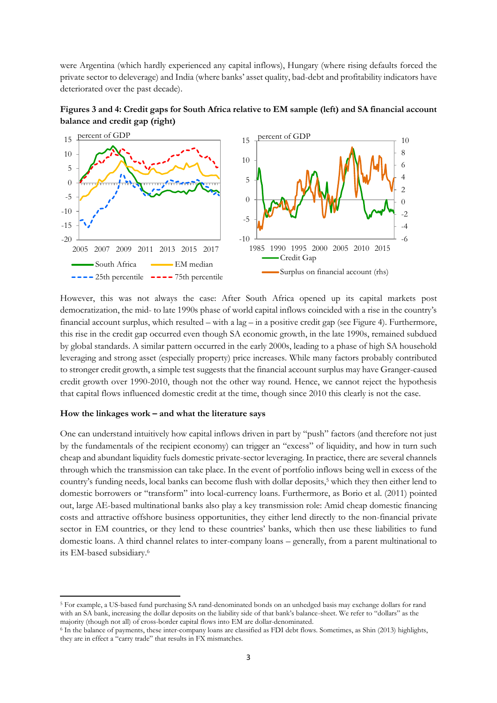were Argentina (which hardly experienced any capital inflows), Hungary (where rising defaults forced the private sector to deleverage) and India (where banks' asset quality, bad-debt and profitability indicators have deteriorated over the past decade).



**Figures 3 and 4: Credit gaps for South Africa relative to EM sample (left) and SA financial account balance and credit gap (right)**

However, this was not always the case: After South Africa opened up its capital markets post democratization, the mid- to late 1990s phase of world capital inflows coincided with a rise in the country's financial account surplus, which resulted – with a lag – in a positive credit gap (see Figure 4). Furthermore, this rise in the credit gap occurred even though SA economic growth, in the late 1990s, remained subdued by global standards. A similar pattern occurred in the early 2000s, leading to a phase of high SA household leveraging and strong asset (especially property) price increases. While many factors probably contributed to stronger credit growth, a simple test suggests that the financial account surplus may have Granger-caused credit growth over 1990-2010, though not the other way round. Hence, we cannot reject the hypothesis that capital flows influenced domestic credit at the time, though since 2010 this clearly is not the case.

#### **How the linkages work – and what the literature says**

1

One can understand intuitively how capital inflows driven in part by "push" factors (and therefore not just by the fundamentals of the recipient economy) can trigger an "excess" of liquidity, and how in turn such cheap and abundant liquidity fuels domestic private-sector leveraging. In practice, there are several channels through which the transmission can take place. In the event of portfolio inflows being well in excess of the country's funding needs, local banks can become flush with dollar deposits,<sup>5</sup> which they then either lend to domestic borrowers or "transform" into local-currency loans. Furthermore, as Borio et al. (2011) pointed out, large AE-based multinational banks also play a key transmission role: Amid cheap domestic financing costs and attractive offshore business opportunities, they either lend directly to the non-financial private sector in EM countries, or they lend to these countries' banks, which then use these liabilities to fund domestic loans. A third channel relates to inter-company loans – generally, from a parent multinational to its EM-based subsidiary.<sup>6</sup>

<sup>5</sup> For example, a US-based fund purchasing SA rand-denominated bonds on an unhedged basis may exchange dollars for rand with an SA bank, increasing the dollar deposits on the liability side of that bank's balance-sheet. We refer to "dollars" as the majority (though not all) of cross-border capital flows into EM are dollar-denominated.

<sup>6</sup> In the balance of payments, these inter-company loans are classified as FDI debt flows. Sometimes, as Shin (2013) highlights, they are in effect a "carry trade" that results in FX mismatches.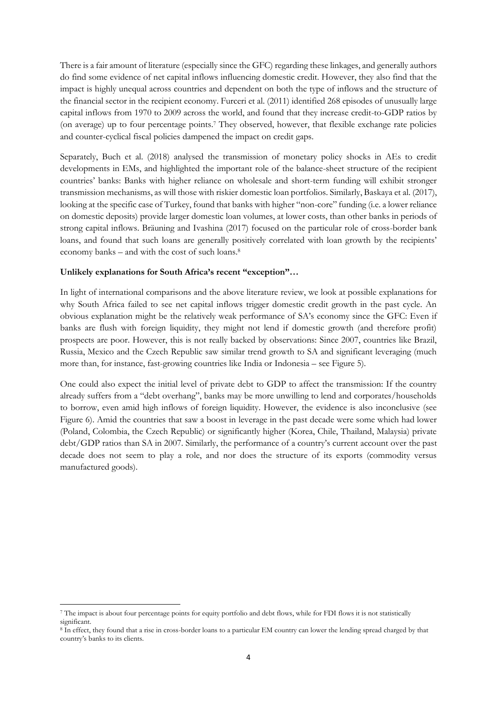There is a fair amount of literature (especially since the GFC) regarding these linkages, and generally authors do find some evidence of net capital inflows influencing domestic credit. However, they also find that the impact is highly unequal across countries and dependent on both the type of inflows and the structure of the financial sector in the recipient economy. Furceri et al. (2011) identified 268 episodes of unusually large capital inflows from 1970 to 2009 across the world, and found that they increase credit-to-GDP ratios by (on average) up to four percentage points.<sup>7</sup> They observed, however, that flexible exchange rate policies and counter-cyclical fiscal policies dampened the impact on credit gaps.

Separately, Buch et al. (2018) analysed the transmission of monetary policy shocks in AEs to credit developments in EMs, and highlighted the important role of the balance-sheet structure of the recipient countries' banks: Banks with higher reliance on wholesale and short-term funding will exhibit stronger transmission mechanisms, as will those with riskier domestic loan portfolios. Similarly, Baskaya et al. (2017), looking at the specific case of Turkey, found that banks with higher "non-core" funding (i.e. a lower reliance on domestic deposits) provide larger domestic loan volumes, at lower costs, than other banks in periods of strong capital inflows. Bräuning and Ivashina (2017) focused on the particular role of cross-border bank loans, and found that such loans are generally positively correlated with loan growth by the recipients' economy banks – and with the cost of such loans.<sup>8</sup>

#### **Unlikely explanations for South Africa's recent "exception"…**

In light of international comparisons and the above literature review, we look at possible explanations for why South Africa failed to see net capital inflows trigger domestic credit growth in the past cycle. An obvious explanation might be the relatively weak performance of SA's economy since the GFC: Even if banks are flush with foreign liquidity, they might not lend if domestic growth (and therefore profit) prospects are poor. However, this is not really backed by observations: Since 2007, countries like Brazil, Russia, Mexico and the Czech Republic saw similar trend growth to SA and significant leveraging (much more than, for instance, fast-growing countries like India or Indonesia – see Figure 5).

One could also expect the initial level of private debt to GDP to affect the transmission: If the country already suffers from a "debt overhang", banks may be more unwilling to lend and corporates/households to borrow, even amid high inflows of foreign liquidity. However, the evidence is also inconclusive (see Figure 6). Amid the countries that saw a boost in leverage in the past decade were some which had lower (Poland, Colombia, the Czech Republic) or significantly higher (Korea, Chile, Thailand, Malaysia) private debt/GDP ratios than SA in 2007. Similarly, the performance of a country's current account over the past decade does not seem to play a role, and nor does the structure of its exports (commodity versus manufactured goods).

<sup>1</sup> <sup>7</sup> The impact is about four percentage points for equity portfolio and debt flows, while for FDI flows it is not statistically significant.

<sup>8</sup> In effect, they found that a rise in cross-border loans to a particular EM country can lower the lending spread charged by that country's banks to its clients.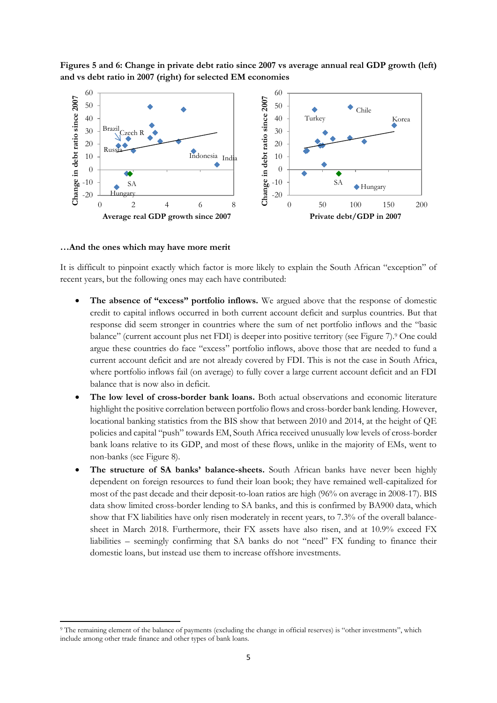**Figures 5 and 6: Change in private debt ratio since 2007 vs average annual real GDP growth (left) and vs debt ratio in 2007 (right) for selected EM economies**



#### **…And the ones which may have more merit**

1

It is difficult to pinpoint exactly which factor is more likely to explain the South African "exception" of recent years, but the following ones may each have contributed:

- **The absence of "excess" portfolio inflows.** We argued above that the response of domestic credit to capital inflows occurred in both current account deficit and surplus countries. But that response did seem stronger in countries where the sum of net portfolio inflows and the "basic balance" (current account plus net FDI) is deeper into positive territory (see Figure 7).<sup>9</sup> One could argue these countries do face "excess" portfolio inflows, above those that are needed to fund a current account deficit and are not already covered by FDI. This is not the case in South Africa, where portfolio inflows fail (on average) to fully cover a large current account deficit and an FDI balance that is now also in deficit.
- **The low level of cross-border bank loans.** Both actual observations and economic literature highlight the positive correlation between portfolio flows and cross-border bank lending. However, locational banking statistics from the BIS show that between 2010 and 2014, at the height of QE policies and capital "push" towards EM, South Africa received unusually low levels of cross-border bank loans relative to its GDP, and most of these flows, unlike in the majority of EMs, went to non-banks (see Figure 8).
- **The structure of SA banks' balance-sheets.** South African banks have never been highly dependent on foreign resources to fund their loan book; they have remained well-capitalized for most of the past decade and their deposit-to-loan ratios are high (96% on average in 2008-17). BIS data show limited cross-border lending to SA banks, and this is confirmed by BA900 data, which show that FX liabilities have only risen moderately in recent years, to 7.3% of the overall balancesheet in March 2018. Furthermore, their FX assets have also risen, and at 10.9% exceed FX liabilities – seemingly confirming that SA banks do not "need" FX funding to finance their domestic loans, but instead use them to increase offshore investments.

<sup>9</sup> The remaining element of the balance of payments (excluding the change in official reserves) is "other investments", which include among other trade finance and other types of bank loans.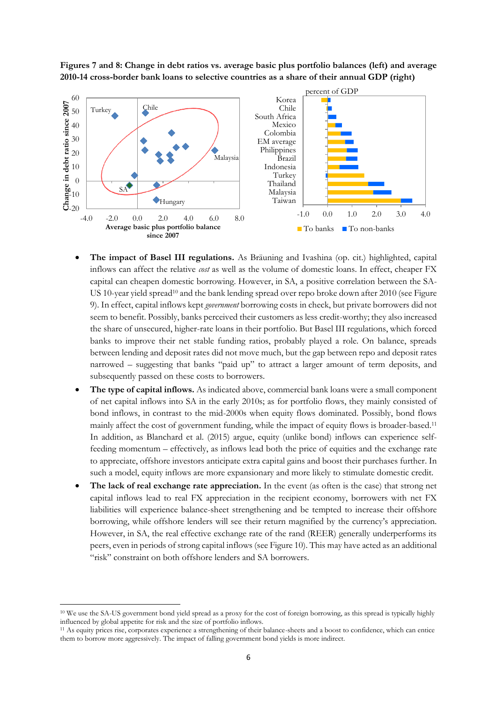**Figures 7 and 8: Change in debt ratios vs. average basic plus portfolio balances (left) and average 2010-14 cross-border bank loans to selective countries as a share of their annual GDP (right)**



- **The impact of Basel III regulations.** As Bräuning and Ivashina (op. cit.) highlighted, capital inflows can affect the relative *cost* as well as the volume of domestic loans. In effect, cheaper FX capital can cheapen domestic borrowing. However, in SA, a positive correlation between the SA-US 10-year yield spread<sup>10</sup> and the bank lending spread over repo broke down after 2010 (see Figure 9). In effect, capital inflows kept *government* borrowing costs in check, but private borrowers did not seem to benefit. Possibly, banks perceived their customers as less credit-worthy; they also increased the share of unsecured, higher-rate loans in their portfolio. But Basel III regulations, which forced banks to improve their net stable funding ratios, probably played a role. On balance, spreads between lending and deposit rates did not move much, but the gap between repo and deposit rates narrowed – suggesting that banks "paid up" to attract a larger amount of term deposits, and subsequently passed on these costs to borrowers.
- **The type of capital inflows.** As indicated above, commercial bank loans were a small component of net capital inflows into SA in the early 2010s; as for portfolio flows, they mainly consisted of bond inflows, in contrast to the mid-2000s when equity flows dominated. Possibly, bond flows mainly affect the cost of government funding, while the impact of equity flows is broader-based.<sup>11</sup> In addition, as Blanchard et al. (2015) argue, equity (unlike bond) inflows can experience selffeeding momentum – effectively, as inflows lead both the price of equities and the exchange rate to appreciate, offshore investors anticipate extra capital gains and boost their purchases further. In such a model, equity inflows are more expansionary and more likely to stimulate domestic credit.
- **The lack of real exchange rate appreciation.** In the event (as often is the case) that strong net capital inflows lead to real FX appreciation in the recipient economy, borrowers with net FX liabilities will experience balance-sheet strengthening and be tempted to increase their offshore borrowing, while offshore lenders will see their return magnified by the currency's appreciation. However, in SA, the real effective exchange rate of the rand (REER) generally underperforms its peers, even in periods of strong capital inflows (see Figure 10). This may have acted as an additional "risk" constraint on both offshore lenders and SA borrowers.

1

<sup>10</sup> We use the SA-US government bond yield spread as a proxy for the cost of foreign borrowing, as this spread is typically highly influenced by global appetite for risk and the size of portfolio inflows.

<sup>11</sup> As equity prices rise, corporates experience a strengthening of their balance-sheets and a boost to confidence, which can entice them to borrow more aggressively. The impact of falling government bond yields is more indirect.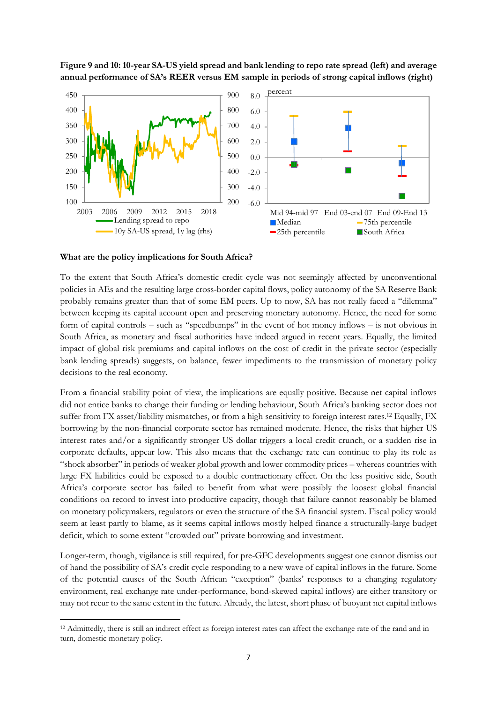**Figure 9 and 10: 10-year SA-US yield spread and bank lending to repo rate spread (left) and average annual performance of SA's REER versus EM sample in periods of strong capital inflows (right)**



#### **What are the policy implications for South Africa?**

1

To the extent that South Africa's domestic credit cycle was not seemingly affected by unconventional policies in AEs and the resulting large cross-border capital flows, policy autonomy of the SA Reserve Bank probably remains greater than that of some EM peers. Up to now, SA has not really faced a "dilemma" between keeping its capital account open and preserving monetary autonomy. Hence, the need for some form of capital controls – such as "speedbumps" in the event of hot money inflows – is not obvious in South Africa, as monetary and fiscal authorities have indeed argued in recent years. Equally, the limited impact of global risk premiums and capital inflows on the cost of credit in the private sector (especially bank lending spreads) suggests, on balance, fewer impediments to the transmission of monetary policy decisions to the real economy.

From a financial stability point of view, the implications are equally positive. Because net capital inflows did not entice banks to change their funding or lending behaviour, South Africa's banking sector does not suffer from FX asset/liability mismatches, or from a high sensitivity to foreign interest rates.<sup>12</sup> Equally, FX borrowing by the non-financial corporate sector has remained moderate. Hence, the risks that higher US interest rates and/or a significantly stronger US dollar triggers a local credit crunch, or a sudden rise in corporate defaults, appear low. This also means that the exchange rate can continue to play its role as "shock absorber" in periods of weaker global growth and lower commodity prices – whereas countries with large FX liabilities could be exposed to a double contractionary effect. On the less positive side, South Africa's corporate sector has failed to benefit from what were possibly the loosest global financial conditions on record to invest into productive capacity, though that failure cannot reasonably be blamed on monetary policymakers, regulators or even the structure of the SA financial system. Fiscal policy would seem at least partly to blame, as it seems capital inflows mostly helped finance a structurally-large budget deficit, which to some extent "crowded out" private borrowing and investment.

Longer-term, though, vigilance is still required, for pre-GFC developments suggest one cannot dismiss out of hand the possibility of SA's credit cycle responding to a new wave of capital inflows in the future. Some of the potential causes of the South African "exception" (banks' responses to a changing regulatory environment, real exchange rate under-performance, bond-skewed capital inflows) are either transitory or may not recur to the same extent in the future. Already, the latest, short phase of buoyant net capital inflows

<sup>&</sup>lt;sup>12</sup> Admittedly, there is still an indirect effect as foreign interest rates can affect the exchange rate of the rand and in turn, domestic monetary policy.